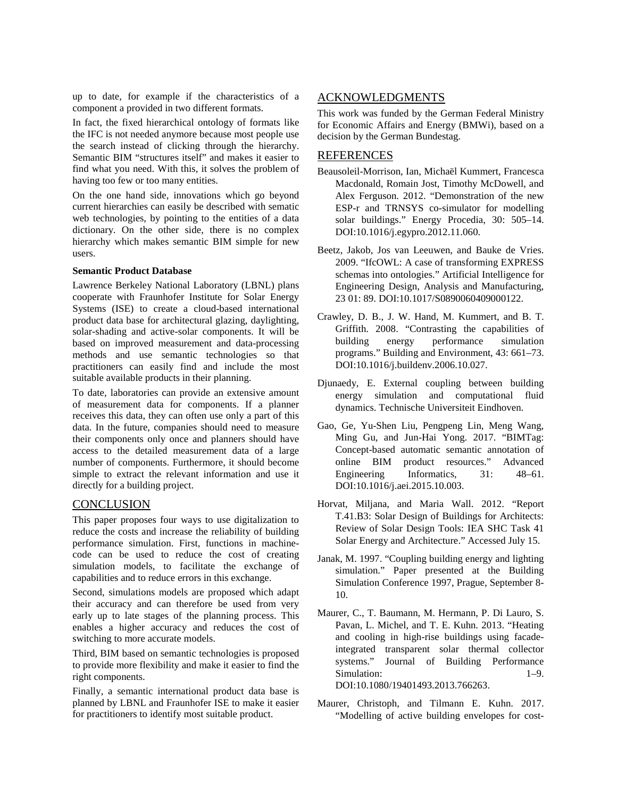up to date, for example if the characteristics of a component a provided in two different formats.

In fact, the fixed hierarchical ontology of formats like the IFC is not needed anymore because most people use the search instead of clicking through the hierarchy. Semantic BIM "structures itself" and makes it easier to find what you need. With this, it solves the problem of having too few or too many entities.

On the one hand side, innovations which go beyond current hierarchies can easily be described with sematic web technologies, by pointing to the entities of a data dictionary. On the other side, there is no complex hierarchy which makes semantic BIM simple for new users.

## **Semantic Product Database**

Lawrence Berkeley National Laboratory (LBNL) plans cooperate with Fraunhofer Institute for Solar Energy Systems (ISE) to create a cloud-based international product data base for architectural glazing, daylighting, solar-shading and active-solar components. It will be based on improved measurement and data-processing methods and use semantic technologies so that practitioners can easily find and include the most suitable available products in their planning.

To date, laboratories can provide an extensive amount of measurement data for components. If a planner receives this data, they can often use only a part of this data. In the future, companies should need to measure their components only once and planners should have access to the detailed measurement data of a large number of components. Furthermore, it should become simple to extract the relevant information and use it directly for a building project.

## **CONCLUSION**

This paper proposes four ways to use digitalization to reduce the costs and increase the reliability of building performance simulation. First, functions in machinecode can be used to reduce the cost of creating simulation models, to facilitate the exchange of capabilities and to reduce errors in this exchange.

Second, simulations models are proposed which adapt their accuracy and can therefore be used from very early up to late stages of the planning process. This enables a higher accuracy and reduces the cost of switching to more accurate models.

Third, BIM based on semantic technologies is proposed to provide more flexibility and make it easier to find the right components.

Finally, a semantic international product data base is planned by LBNL and Fraunhofer ISE to make it easier for practitioners to identify most suitable product.

## ACKNOWLEDGMENTS

This work was funded by the German Federal Ministry for Economic Affairs and Energy (BMWi), based on a decision by the German Bundestag.

## REFERENCES

- Beausoleil-Morrison, Ian, Michaël Kummert, Francesca Macdonald, Romain Jost, Timothy McDowell, and Alex Ferguson. 2012. "Demonstration of the new ESP-r and TRNSYS co-simulator for modelling solar buildings." Energy Procedia, 30: 505–14. DOI:10.1016/j.egypro.2012.11.060.
- Beetz, Jakob, Jos van Leeuwen, and Bauke de Vries. 2009. "IfcOWL: A case of transforming EXPRESS schemas into ontologies." Artificial Intelligence for Engineering Design, Analysis and Manufacturing, 23 01: 89. DOI:10.1017/S0890060409000122.
- Crawley, D. B., J. W. Hand, M. Kummert, and B. T. Griffith. 2008. "Contrasting the capabilities of building energy performance simulation programs." Building and Environment, 43: 661–73. DOI:10.1016/j.buildenv.2006.10.027.
- Djunaedy, E. External coupling between building energy simulation and computational fluid dynamics. Technische Universiteit Eindhoven.
- Gao, Ge, Yu-Shen Liu, Pengpeng Lin, Meng Wang, Ming Gu, and Jun-Hai Yong. 2017. "BIMTag: Concept-based automatic semantic annotation of online BIM product resources." Advanced Engineering Informatics, 31: 48–61. DOI:10.1016/j.aei.2015.10.003.
- Horvat, Miljana, and Maria Wall. 2012. "Report T.41.B3: Solar Design of Buildings for Architects: Review of Solar Design Tools: IEA SHC Task 41 Solar Energy and Architecture." Accessed July 15.
- Janak, M. 1997. "Coupling building energy and lighting simulation." Paper presented at the Building Simulation Conference 1997, Prague, September 8- 10.
- Maurer, C., T. Baumann, M. Hermann, P. Di Lauro, S. Pavan, L. Michel, and T. E. Kuhn. 2013. "Heating and cooling in high-rise buildings using facadeintegrated transparent solar thermal collector systems." Journal of Building Performance Simulation:  $1-9$ . DOI:10.1080/19401493.2013.766263.
- Maurer, Christoph, and Tilmann E. Kuhn. 2017. "Modelling of active building envelopes for cost-